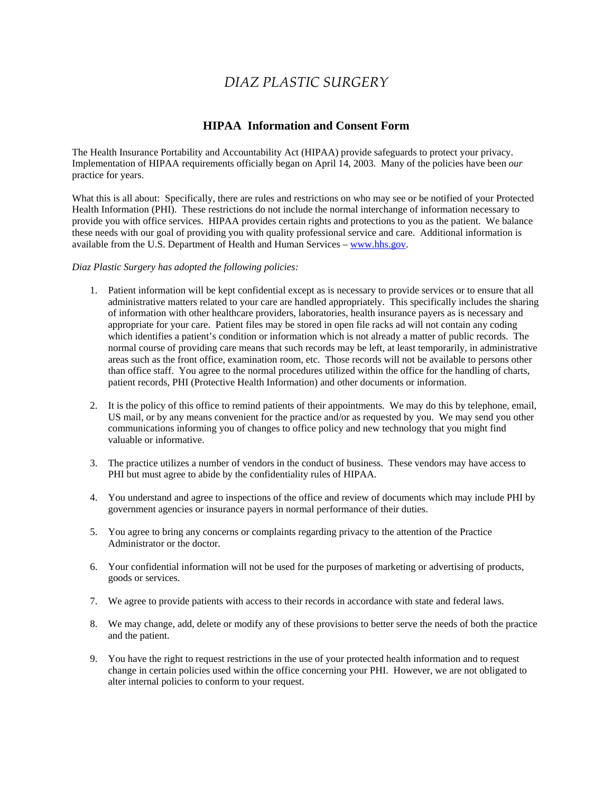# *DIAZ PLASTIC SURGERY*

## **HIPAA Information and Consent Form**

The Health Insurance Portability and Accountability Act (HIPAA) provide safeguards to protect your privacy. Implementation of HIPAA requirements officially began on April 14, 2003. Many of the policies have been *our*  practice for years.

 What this is all about: Specifically, there are rules and restrictions on who may see or be notified of your Protected provide you with office services. HIPAA provides certain rights and protections to you as the patient. We balance Health Information (PHI). These restrictions do not include the normal interchange of information necessary to these needs with our goal of providing you with quality professional service and care. Additional information is available from the U.S. Department of Health and Human Services –<www.hhs.gov>.

#### *Diaz Plastic Surgery has adopted the following policies:*

- 1. Patient information will be kept confidential except as is necessary to provide services or to ensure that all administrative matters related to your care are handled appropriately. This specifically includes the sharing of information with other healthcare providers, laboratories, health insurance payers as is necessary and appropriate for your care. Patient files may be stored in open file racks ad will not contain any coding which identifies a patient's condition or information which is not already a matter of public records. The normal course of providing care means that such records may be left, at least temporarily, in administrative areas such as the front office, examination room, etc. Those records will not be available to persons other than office staff. You agree to the normal procedures utilized within the office for the handling of charts, patient records, PHI (Protective Health Information) and other documents or information.
- US mail, or by any means convenient for the practice and/or as requested by you. We may send you other communications informing you of changes to office policy and new technology that you might find 2. It is the policy of this office to remind patients of their appointments. We may do this by telephone, email, valuable or informative.
- 3. The practice utilizes a number of vendors in the conduct of business. These vendors may have access to PHI but must agree to abide by the confidentiality rules of HIPAA.
- 4. You understand and agree to inspections of the office and review of documents which may include PHI by government agencies or insurance payers in normal performance of their duties.
- Administrator or the doctor. 5. You agree to bring any concerns or complaints regarding privacy to the attention of the Practice
- 6. Your confidential information will not be used for the purposes of marketing or advertising of products, goods or services.
- 7. We agree to provide patients with access to their records in accordance with state and federal laws.
- 8. We may change, add, delete or modify any of these provisions to better serve the needs of both the practice and the patient.
- 9. You have the right to request restrictions in the use of your protected health information and to request change in certain policies used within the office concerning your PHI. However, we are not obligated to alter internal policies to conform to your request.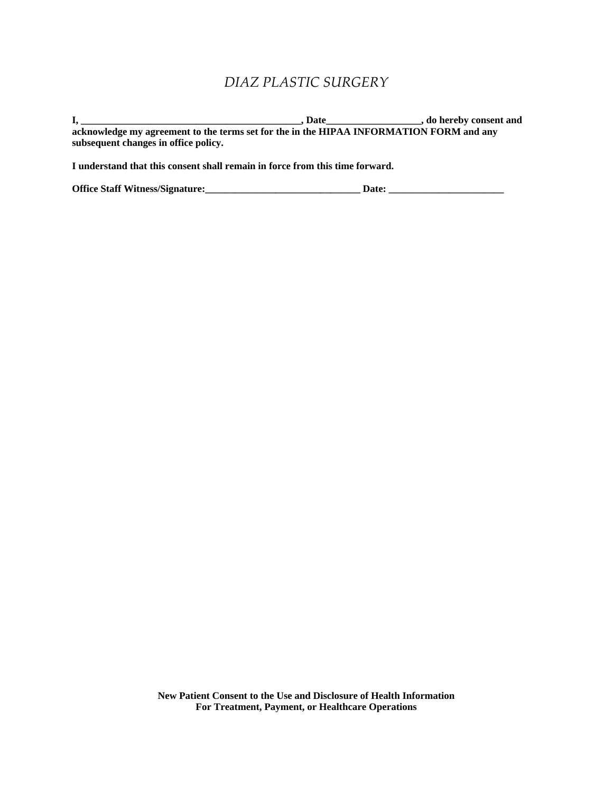## *DIAZ PLASTIC SURGERY*

**I, \_\_\_\_\_\_\_\_\_\_\_\_\_\_\_\_\_\_\_\_\_\_\_\_\_\_\_\_\_\_\_\_\_\_\_\_\_\_\_\_\_\_\_\_, Date\_\_\_\_\_\_\_\_\_\_\_\_\_\_\_\_\_\_\_, do hereby consent and acknowledge my agreement to the terms set for the in the HIPAA INFORMATION FORM and any subsequent changes in office policy.** 

**I understand that this consent shall remain in force from this time forward.** 

**Office Staff Witness/Signature:\_\_\_\_\_\_\_\_\_\_\_\_\_\_\_\_\_\_\_\_\_\_\_\_\_\_\_\_\_\_\_ Date: \_\_\_\_\_\_\_\_\_\_\_\_\_\_\_\_\_\_\_\_\_\_\_**